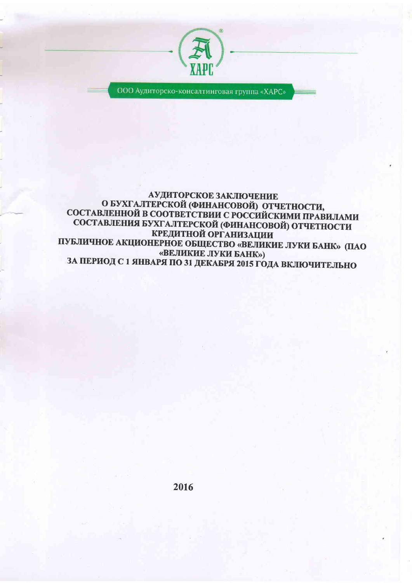

ООО Аудиторско-консалтинговая группа «ХАРС»

# АУДИТОРСКОЕ ЗАКЛЮЧЕНИЕ О БУХГАЛТЕРСКОЙ (ФИНАНСОВОЙ) ОТЧЕТНОСТИ,<br>СОСТАВЛЕННОЙ В СООТВЕТСТВИИ С РОССИЙСКИМИ ПРАВИЛАМИ СОСТАВЛЕНИЯ БУХГАЛТЕРСКОЙ (ФИНАНСОВОЙ) ОТЧЕТНОСТИ **КРЕДИТНОЙ ОРГАНИЗАЦИИ** ПУБЛИЧНОЕ АКЦИОНЕРНОЕ ОБЩЕСТВО «ВЕЛИКИЕ ЛУКИ БАНК» (ПАО «ВЕЛИКИЕ ЛУКИ БАНК») ЗА ПЕРИОД С 1 ЯНВАРЯ ПО 31 ДЕКАБРЯ 2015 ГОДА ВКЛЮЧИТЕЛЬНО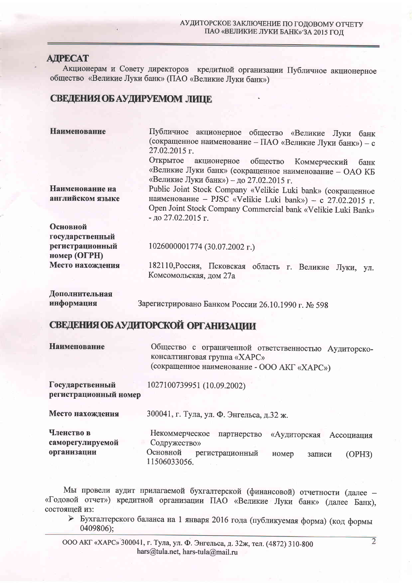### **АЛРЕСАТ**

Акционерам и Совету директоров кредитной организации Публичное акционерное общество «Великие Луки банк» (ПАО «Великие Луки банк»)

## СВЕДЕНИЯ ОБ АУДИРУЕМОМ ЛИПЕ

| <b>Наименование</b>                 | Публичное акционерное общество «Великие Луки<br>банк<br>(сокращенное наименование - ПАО «Великие Луки банк») - с<br>27.02.2015 г.                                                                               |  |  |
|-------------------------------------|-----------------------------------------------------------------------------------------------------------------------------------------------------------------------------------------------------------------|--|--|
|                                     | Открытое<br>акционерное общество Коммерческий<br>банк<br>«Великие Луки банк» (сокращенное наименование - ОАО КБ<br>«Великие Луки банк») - до 27.02.2015 г.                                                      |  |  |
| Наименование на<br>английском языке | Public Joint Stock Company «Velikie Luki bank» (сокращенное<br>наименование - PJSC «Velikie Luki bank») - с 27.02.2015 г.<br>Open Joint Stock Company Commercial bank «Velikie Luki Bank»<br>- до 27.02.2015 г. |  |  |
| Основной<br>государственный         |                                                                                                                                                                                                                 |  |  |
| регистрационный<br>номер (ОГРН)     | 1026000001774 (30.07.2002 г.)                                                                                                                                                                                   |  |  |
| Место нахождения                    | 182110, Россия, Псковская область г. Великие<br>Луки, ул.                                                                                                                                                       |  |  |

|                | Комсомольская, дом 27а                             |  |
|----------------|----------------------------------------------------|--|
| Дополнительная |                                                    |  |
| информация     | Зарегистрировано Банком России 26.10.1990 г. № 598 |  |

## СВЕДЕНИЯ ОБ АУДИТОРСКОЙ ОРГАНИЗАЦИИ

Наименование Общество с ограниченной ответственностью Аудиторскоконсалтинговая группа «ХАРС» (сокращенное наименование - ООО АКГ «ХАРС»)

Государственный 1027100739951 (10.09.2002) регистрационный номер

Место нахождения 300041, г. Тула, ул. Ф. Энгельса, д.32 ж. Членство в Некоммерческое партнерство «Аудиторская Ассоциация саморегулируемой Содружество» организации Основной регистрационный номер записи  $(OPH3)$ 11506033056.

Мы провели аудит прилагаемой бухгалтерской (финансовой) отчетности (далее -«Годовой отчет») кредитной организации ПАО «Великие Луки банк» (далее Банк), состоящей из:

> Бухгалтерского баланса на 1 января 2016 года (публикуемая форма) (код формы 0409806);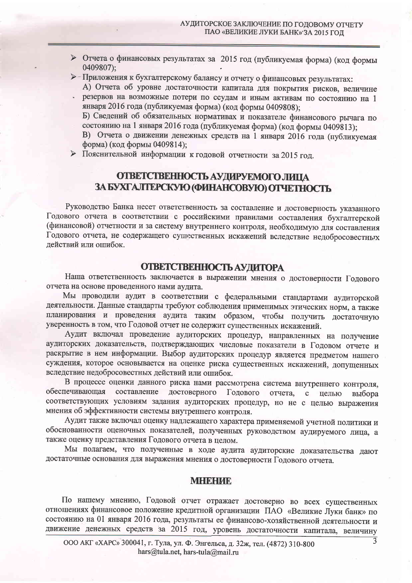- > Отчета о финансовых результатах за 2015 год (публикуемая форма) (код формы 0409807);
- > Приложения к бухгалтерскому балансу и отчету о финансовых результатах:

А) Отчета об уровне достаточности капитала для покрытия рисков, величине резервов на возможные потери по ссудам и иным активам по состоянию на 1 января 2016 года (публикуемая форма) (код формы 0409808);

Б) Сведений об обязательных нормативах и показателе финансового рычага по состоянию на 1 января 2016 года (публикуемая форма) (код формы 0409813);

В) Отчета о движении денежных средств на 1 января 2016 года (публикуемая форма) (код формы 0409814);

> Пояснительной информации к годовой отчетности за 2015 год.

# ОТВЕТСТВЕННОСТЬ АУДИРУЕМОГО ЛИЦА ЗА БУХГАЛТЕРСКУЮ (ФИНАНСОВУЮ) ОТЧЕТНОСТЬ

Руководство Банка несет ответственность за составление и достоверность указанного Годового отчета в соответствии с российскими правилами составления бухгалтерской (финансовой) отчетности и за систему внутреннего контроля, необходимую для составления Годового отчета, не содержащего сушественных искажений вследствие недобросовестных действий или ошибок.

#### ОТВЕТСТВЕННОСТЬ АУДИТОРА

Наша ответственность заключается в выражении мнения о достоверности Годового отчета на основе проведенного нами аудита.

Мы проводили аудит в соответствии с федеральными стандартами аудиторской деятельности. Данные стандарты требуют соблюдения применимых этических норм, а также планирования и проведения аудита таким образом, чтобы получить достаточную уверенность в том, что Годовой отчет не содержит существенных искажений.

Аудит включал проведение аудиторских процедур, направленных на получение аудиторских доказательств, подтверждающих числовые показатели в Годовом отчете и раскрытие в нем информации. Выбор аудиторских процедур является предметом нашего суждения, которое основывается на оценке риска существенных искажений, допущенных вследствие недобросовестных действий или ошибок.

В процессе оценки данного риска нами рассмотрена система внутреннего контроля, составление достоверного Годового обеспечивающая отчета, с целью выбора соответствующих условиям задания аудиторских процедур, но не с целью выражения мнения об эффективности системы внутреннего контроля.

Аудит также включал оценку надлежащего характера применяемой учетной политики и обоснованности оценочных показателей, полученных руководством аудируемого лица, а также оценку представления Годового отчета в целом.

Мы полагаем, что полученные в ходе аудита аудиторские доказательства дают достаточные основания для выражения мнения о достоверности Годового отчета.

#### **MHERID**

По нашему мнению, Годовой отчет отражает достоверно во всех существенных отношениях финансовое положение кредитной организации ПАО «Великие Луки банк» по состоянию на 01 января 2016 года, результаты ее финансово-хозяйственной деятельности и движение денежных средств за 2015 год, уровень достаточности капитала, величину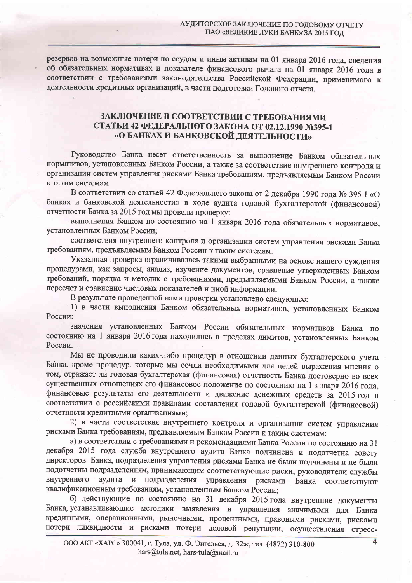резервов на возможные потери по ссудам и иным активам на 01 января 2016 года, сведения об обязательных нормативах и показателе финансового рычага на 01 января 2016 года в соответствии с требованиями законодательства Российской Федерации, применимого к деятельности кредитных организаций, в части подготовки Годового отчета.

### ЗАКЛЮЧЕНИЕ В СООТВЕТСТВИИ С ТРЕБОВАНИЯМИ СТАТЬИ 42 ФЕДЕРАЛЬНОГО ЗАКОНА ОТ 02.12.1990 №395-1 «О БАНКАХ И БАНКОВСКОЙ ДЕЯТЕЛЬНОСТИ»

Руководство Банка несет ответственность за выполнение Банком обязательных нормативов, установленных Банком России, а также за соответствие внутреннего контроля и организации систем управления рисками Банка требованиям, предъявляемым Банком России к таким системам.

В соответствии со статьей 42 Федерального закона от 2 декабря 1990 года № 395-I «О банках и банковской деятельности» в ходе аудита годовой бухгалтерской (финансовой) отчетности Банка за 2015 год мы провели проверку:

выполнения Банком по состоянию на 1 января 2016 года обязательных нормативов, установленных Банком России;

соответствия внутреннего контроля и организации систем управления рисками Банка требованиям, предъявляемым Банком России к таким системам.

Указанная проверка ограничивалась такими выбранными на основе нашего суждения процедурами, как запросы, анализ, изучение документов, сравнение утвержденных Банком требований, порядка и методик с требованиями, предъявляемыми Банком России, а также пересчет и сравнение числовых показателей и иной информации.

В результате проведенной нами проверки установлено следующее:

1) в части выполнения Банком обязательных нормативов, установленных Банком России:

значения установленных Банком России обязательных нормативов Банка по состоянию на 1 января 2016 года находились в пределах лимитов, установленных Банком России.

Мы не проводили каких-либо процедур в отношении данных бухгалтерского учета Банка, кроме процедур, которые мы сочли необходимыми для целей выражения мнения о том, отражает ли годовая бухгалтерская (финансовая) отчетность Банка достоверно во всех существенных отношениях его финансовое положение по состоянию на 1 января 2016 года, финансовые результаты его деятельности и движение денежных средств за 2015 год в соответствии с российскими правилами составления годовой бухгалтерской (финансовой) отчетности кредитными организациями;

2) в части соответствия внутреннего контроля и организации систем управления рисками Банка требованиям, предъявляемым Банком России к таким системам:

а) в соответствии с требованиями и рекомендациями Банка России по состоянию на 31 декабря 2015 года служба внутреннего аудита Банка подчинена и подотчетна совету директоров Банка, подразделения управления рисками Банка не были подчинены и не были подотчетны подразделениям, принимающим соответствующие риски, руководители службы аудита и подразделения управления рисками Банка соответствуют внутреннего квалификационным требованиям, установленным Банком России;

б) действующие по состоянию на 31 декабря 2015 года внутренние документы Банка, устанавливающие методики выявления и управления значимыми для Банка кредитными, операционными, рыночными, процентными, правовыми рисками, рисками потери ликвидности и рисками потери деловой репутации, осуществления стресс